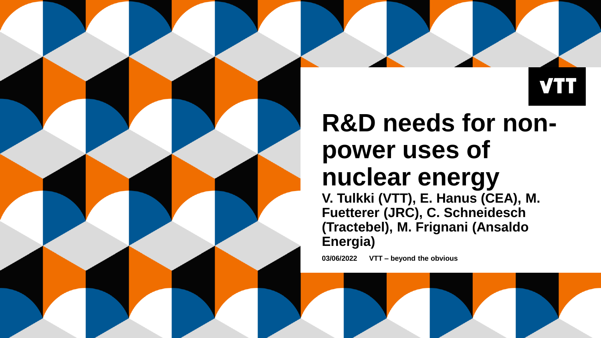

# **R&D needs for nonpower uses of nuclear energy**

**V. Tulkki (VTT), E. Hanus (CEA), M. Fuetterer (JRC), C. Schneidesch (Tractebel), M. Frignani (Ansaldo Energia)**

**03/06/2022 VTT – beyond the obvious**

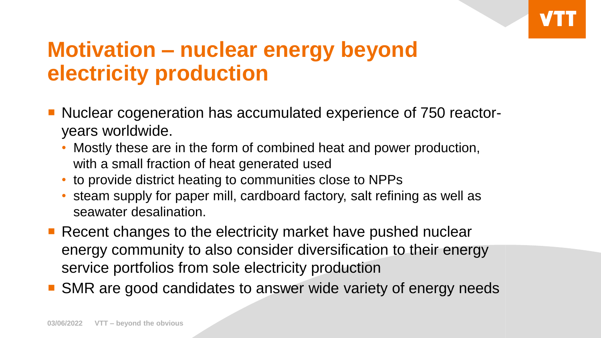# **Motivation – nuclear energy beyond electricity production**

- Nuclear cogeneration has accumulated experience of 750 reactoryears worldwide.
	- Mostly these are in the form of combined heat and power production, with a small fraction of heat generated used
	- to provide district heating to communities close to NPPs
	- steam supply for paper mill, cardboard factory, salt refining as well as seawater desalination.
- Recent changes to the electricity market have pushed nuclear energy community to also consider diversification to their energy service portfolios from sole electricity production
- **SMR** are good candidates to answer wide variety of energy needs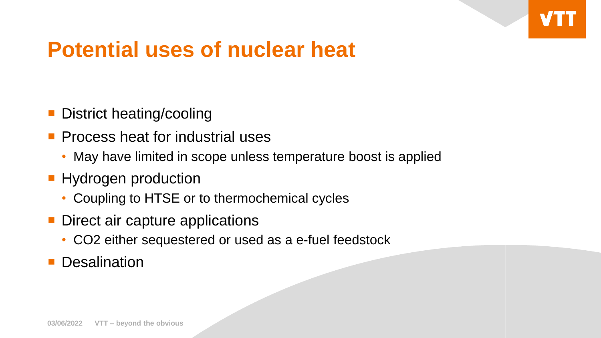

### **Potential uses of nuclear heat**

- **District heating/cooling**
- **Process heat for industrial uses** 
	- May have limited in scope unless temperature boost is applied
- **Hydrogen production** 
	- Coupling to HTSE or to thermochemical cycles
- Direct air capture applications
	- CO2 either sequestered or used as a e-fuel feedstock
- **Desalination**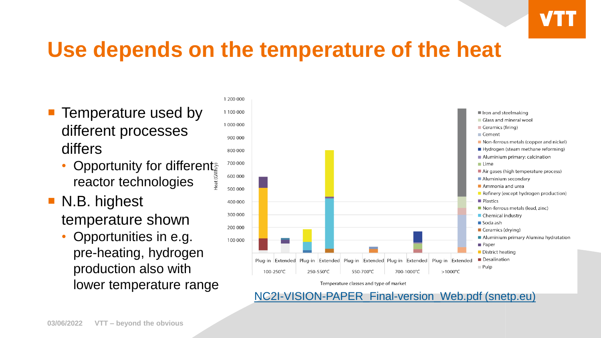

#### **Use depends on the temperature of the heat**

- **Temperature used by** different processes differs
	- Opportunity for different reactor technologies
- N.B. highest temperature shown
	- Opportunities in e.g. pre-heating, hydrogen production also with lower temperature range



[NC2I-VISION-PAPER\\_Final-version\\_Web.pdf \(snetp.eu\)](https://snetp.eu/wp-content/uploads/2020/10/NC2I-VISION-PAPER_Final-version_Web.pdf)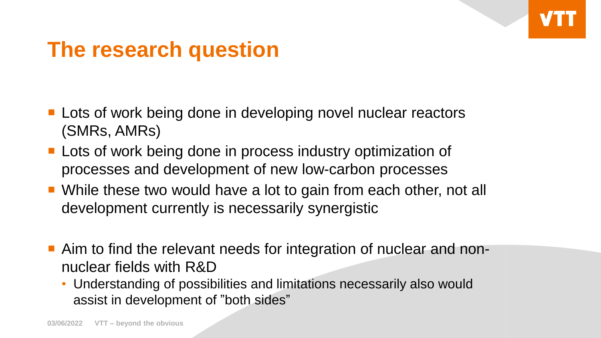#### **The research question**

- **Lots of work being done in developing novel nuclear reactors** (SMRs, AMRs)
- **Lots of work being done in process industry optimization of** processes and development of new low-carbon processes
- While these two would have a lot to gain from each other, not all development currently is necessarily synergistic
- Aim to find the relevant needs for integration of nuclear and nonnuclear fields with R&D
	- Understanding of possibilities and limitations necessarily also would assist in development of "both sides"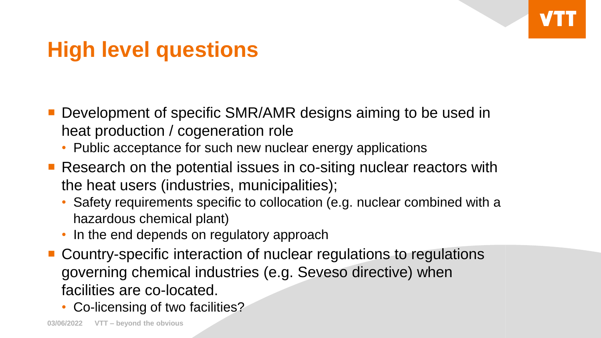## **High level questions**

- **Development of specific SMR/AMR designs aiming to be used in** heat production / cogeneration role
	- Public acceptance for such new nuclear energy applications
- Research on the potential issues in co-siting nuclear reactors with the heat users (industries, municipalities);
	- Safety requirements specific to collocation (e.g. nuclear combined with a hazardous chemical plant)
	- In the end depends on regulatory approach
- Country-specific interaction of nuclear regulations to regulations governing chemical industries (e.g. Seveso directive) when facilities are co-located.
	- Co-licensing of two facilities?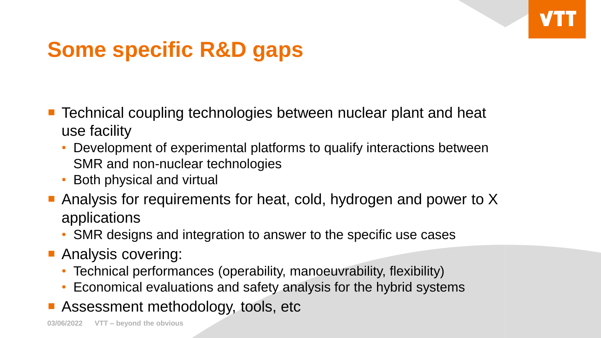

# **Some specific R&D gaps**

- Technical coupling technologies between nuclear plant and heat use facility
	- Development of experimental platforms to qualify interactions between SMR and non-nuclear technologies
	- Both physical and virtual
- Analysis for requirements for heat, cold, hydrogen and power to X applications
	- SMR designs and integration to answer to the specific use cases
- **Analysis covering:** 
	- Technical performances (operability, manoeuvrability, flexibility)
	- Economical evaluations and safety analysis for the hybrid systems
- **Assessment methodology, tools, etc.**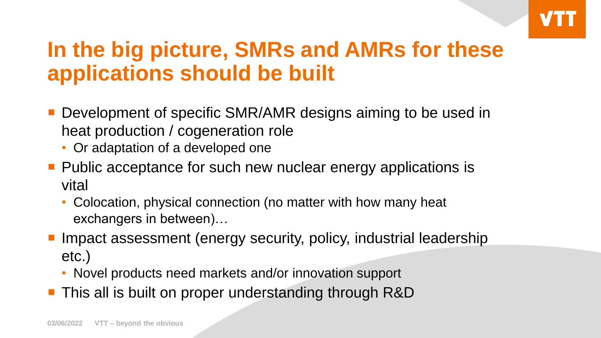# **In the big picture, SMRs and AMRs for these applications should be built**

- Development of specific SMR/AMR designs aiming to be used in heat production / cogeneration role
	- Or adaptation of a developed one
- **Public acceptance for such new nuclear energy applications is** vital
	- Colocation, physical connection (no matter with how many heat exchangers in between)…
- Impact assessment (energy security, policy, industrial leadership etc.)
	- Novel products need markets and/or innovation support
- This all is built on proper understanding through R&D